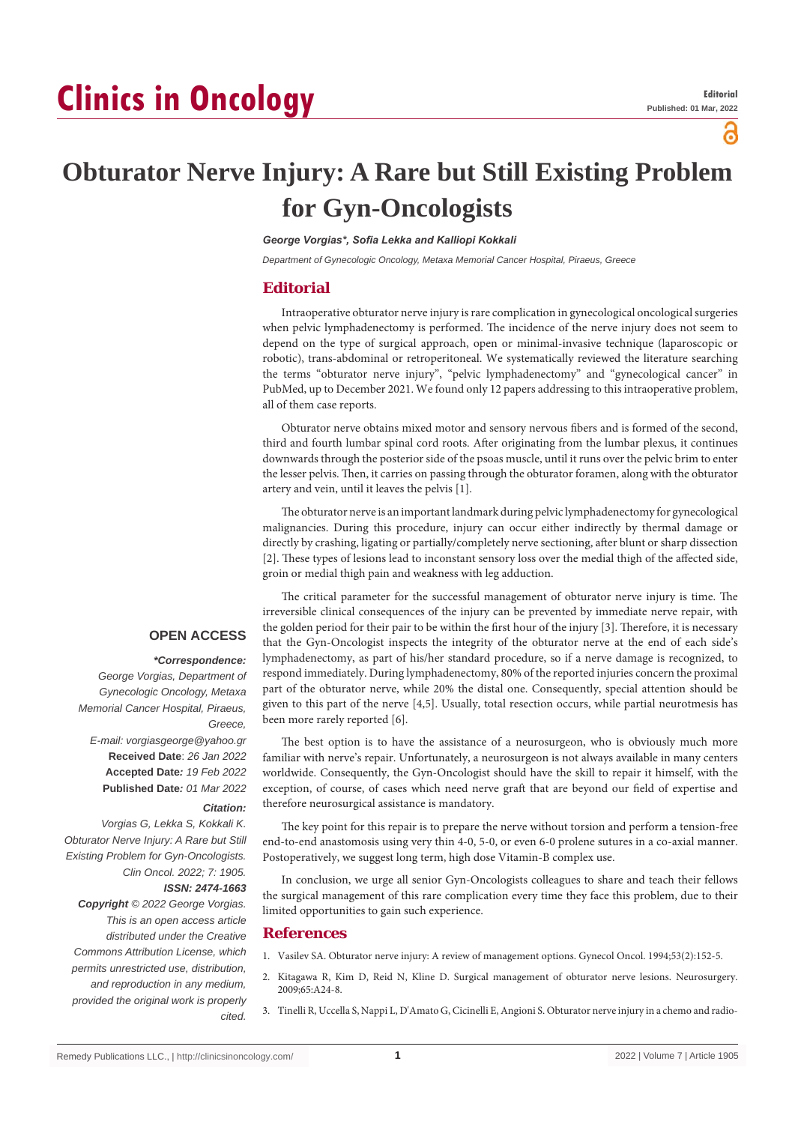# **Clinics in Oncology**

ခ

## **Obturator Nerve Injury: A Rare but Still Existing Problem for Gyn-Oncologists**

*George Vorgias\*, Sofia Lekka and Kalliopi Kokkali*

*Department of Gynecologic Oncology, Metaxa Memorial Cancer Hospital, Piraeus, Greece*

#### **Editorial**

Intraoperative obturator nerve injury is rare complication in gynecological oncological surgeries when pelvic lymphadenectomy is performed. The incidence of the nerve injury does not seem to depend on the type of surgical approach, open or minimal-invasive technique (laparoscopic or robotic), trans-abdominal or retroperitoneal. We systematically reviewed the literature searching the terms "obturator nerve injury", "pelvic lymphadenectomy" and "gynecological cancer" in PubMed, up to December 2021. We found only 12 papers addressing to this intraoperative problem, all of them case reports.

Obturator nerve obtains mixed motor and sensory nervous fibers and is formed of the second, third and fourth lumbar spinal cord roots. After originating from the lumbar plexus, it continues downwards through the posterior side of the psoas muscle, until it runs over the pelvic brim to enter the lesser pelvis. Then, it carries on passing through the obturator foramen, along with the obturator artery and vein, until it leaves the pelvis [1].

The obturator nerve is an important landmark during pelvic lymphadenectomy for gynecological malignancies. During this procedure, injury can occur either indirectly by thermal damage or directly by crashing, ligating or partially/completely nerve sectioning, after blunt or sharp dissection [2]. These types of lesions lead to inconstant sensory loss over the medial thigh of the affected side, groin or medial thigh pain and weakness with leg adduction.

The critical parameter for the successful management of obturator nerve injury is time. The irreversible clinical consequences of the injury can be prevented by immediate nerve repair, with the golden period for their pair to be within the first hour of the injury [3]. Therefore, it is necessary that the Gyn-Oncologist inspects the integrity of the obturator nerve at the end of each side's lymphadenectomy, as part of his/her standard procedure, so if a nerve damage is recognized, to respond immediately. During lymphadenectomy, 80% of the reported injuries concern the proximal part of the obturator nerve, while 20% the distal one. Consequently, special attention should be given to this part of the nerve [4,5]. Usually, total resection occurs, while partial neurotmesis has been more rarely reported [6].

The best option is to have the assistance of a neurosurgeon, who is obviously much more familiar with nerve's repair. Unfortunately, a neurosurgeon is not always available in many centers worldwide. Consequently, the Gyn-Oncologist should have the skill to repair it himself, with the exception, of course, of cases which need nerve graft that are beyond our field of expertise and therefore neurosurgical assistance is mandatory.

The key point for this repair is to prepare the nerve without torsion and perform a tension-free end-to-end anastomosis using very thin 4-0, 5-0, or even 6-0 prolene sutures in a co-axial manner. Postoperatively, we suggest long term, high dose Vitamin-B complex use.

In conclusion, we urge all senior Gyn-Oncologists colleagues to share and teach their fellows the surgical management of this rare complication every time they face this problem, due to their limited opportunities to gain such experience.

#### **References**

1. [Vasilev SA. Obturator nerve injury: A review of management options. Gynecol Oncol. 1994;53\(2\):152-5.](https://pubmed.ncbi.nlm.nih.gov/8188073/)

- 2. [Kitagawa R, Kim D, Reid N, Kline D. Surgical management of obturator nerve lesions. Neurosurgery.](https://pubmed.ncbi.nlm.nih.gov/19927074/)  [2009;65:A24-8.](https://pubmed.ncbi.nlm.nih.gov/19927074/)
- 3. [Tinelli R, Uccella S, Nappi L, D'Amato G, Cicinelli E, Angioni S. Obturator nerve injury in a chemo and radio-](https://pubmed.ncbi.nlm.nih.gov/32659642/)

### **OPEN ACCESS**

#### *\*Correspondence:*

*George Vorgias, Department of Gynecologic Oncology, Metaxa Memorial Cancer Hospital, Piraeus, Greece, E-mail: vorgiasgeorge@yahoo.gr*

**Received Date**: *26 Jan 2022* **Accepted Date***: 19 Feb 2022* **Published Date***: 01 Mar 2022*

#### *Citation:*

*Vorgias G, Lekka S, Kokkali K. Obturator Nerve Injury: A Rare but Still Existing Problem for Gyn-Oncologists. Clin Oncol. 2022; 7: 1905. ISSN: 2474-1663*

*Copyright © 2022 George Vorgias. This is an open access article distributed under the Creative Commons Attribution License, which permits unrestricted use, distribution, and reproduction in any medium, provided the original work is properly cited.*